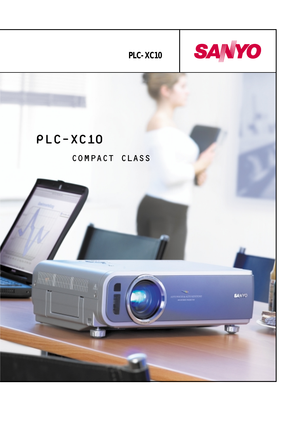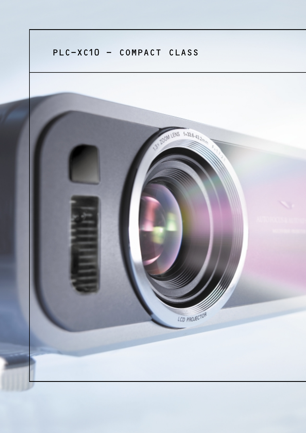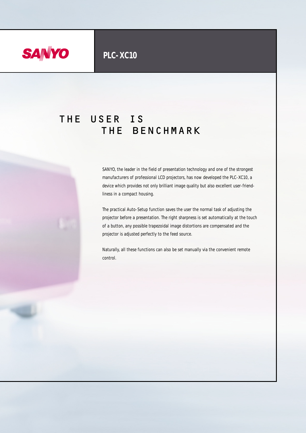

# THE USER IS THE BENCHMARK

SANYO, the leader in the field of presentation technology and one of the strongest manufacturers of professional LCD projectors, has now developed the PLC-XC10, a device which provides not only brilliant image quality but also excellent user-friendliness in a compact housing.

The practical Auto-Setup function saves the user the normal task of adjusting the projector before a presentation. The right sharpness is set automatically at the touch of a button, any possible trapezoidal image distortions are compensated and the projector is adjusted perfectly to the feed source.

Naturally, all these functions can also be set manually via the convenient remote control.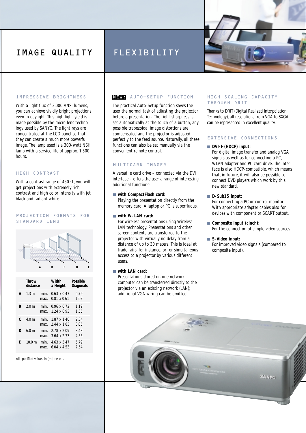## IMAGE QUALITY

### IMPRESSIVE BRIGHTNESS

With a light flux of 3,000 ANSI lumens. you can achieve vividly bright projections even in daylight. This high light yield is made possible by the micro lens technology used by SANYO. The light rays are concentrated at the LCD panel so that they can create a much more powerful image. The lamp used is a 300-watt NSH lamp with a service life of approx. 1,500 hours.

### HIGH CONTRAST

With a contrast range of 450:1, you will get projections with extremely rich contrast and high color intensity with jet black and radiant white.

### PROJECTION FORMATS FOR STANDARD LENS



|   | Throw<br>distance |              | Width<br>x Height                      | Possible<br>Diagonals |
|---|-------------------|--------------|----------------------------------------|-----------------------|
| A | 1.3 <sub>m</sub>  | min.<br>max. | $0.63 \times 0.47$<br>0.81 x 0.61      | 0.79<br>1.02          |
| B | 20m               | min.<br>max  | $0.96 \times 0.72$<br>$124 \times 093$ | 1.19<br>1.55          |
| C | 40m               | min.<br>max  | $1.87 \times 1.40$<br>244 x 183        | 2.34<br>3.05          |
| D | 60m               | min.<br>max  | 2.78 x 2.09<br>$3.64 \times 2.73$      | 3.48<br>4.55          |
| F | 100m              | min.<br>max. | $4.63 \times 3.47$<br>604 x 453        | 5.79<br>7.54          |

All specified values in [m] meters.

### NEW: AUTO-SETUP FUNCTION

FLEXIBILITY

The practical Auto-Setup function saves the user the normal task of adjusting the projector before a presentation. The right sharpness is set automatically at the touch of a button, any possible trapezoidal image distortions are compensated and the projector is adjusted perfectly to the feed source. Naturally, all these functions can also be set manually via the convenient remote control.

### MULTICARD IMAGER

A versatile card drive – connected via the DVI interface – offers the user a range of interesting additional functions:

### ■ **with CompactFlash card:**

Playing the presentation directly from the memory card. A laptop or PC is superfluous.

### ■ with W-LAN card:

For wireless presentations using Wireless LAN technology. Presentations and other screen contents are transferred to the projector with virtually no delay from a distance of up to 30 meters. This is ideal at trade fairs, for instance, or for simultaneous access to a projector by various different users.

### ■ with LAN card:

Presentations stored on one network computer can be transferred directly to the projector via an existing network (LAN); additional VGA wiring can be omitted.

### HIGH SCALING CAPACITY THROUGH DRIT

Thanks to DRIT (Digital Realized Interpolation Technology), all resolutions from VGA to SXGA can be represented in excellent quality.

### EXTENSIVE CONNECTIONS

### ■ **DVI-I-(HDCP) input:**

For digital image transfer and analog VGA signals as well as for connecting a PC, WLAN adapter and PC card drive. The interface is also HDCP-compatible, which means that, in future, it will also be possible to connect DVD players which work by this new standard.

### ■ **D-Sub15 input:**

For connecting a PC or control monitor. With appropriate adapter cables also for devices with component or SCART output.

### ■ **Composite input (cinch):**

For the connection of simple video sources.

### ■ **S-Video input:**

For improved video signals (compared to composite input).

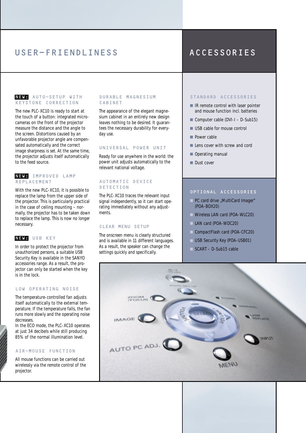## USER-FRIENDLINESS ACCESSORIES

### NEW: AUTO-SETUP WITH KEYSTONE CORRECTION

The new PLC-XC10 is ready to start at the touch of a button: integrated microcameras on the front of the projector measure the distance and the angle to the screen. Distortions caused by an unfavorable projector angle are compensated automatically and the correct image sharpness is set. At the same time, the projector adjusts itself automatically to the feed source.

### NEW: IMPROVED LAMP REPLACEMENT

With the new PLC-XC10, it is possible to replace the lamp from the upper side of the projector. This is particularly practical in the case of ceiling mounting – normally, the projector has to be taken down to replace the lamp. This is now no longer necessary.

### NEW: USB KEY

In order to protect the projector from unauthorized persons, a suitable USB Security Key is available in the SANYO accessories range. As a result, the projector can only be started when the key is in the lock.

### LOW OPERATING NOISE

The temperature-controlled fan adjusts itself automatically to the external temperature. If the temperature falls, the fan runs more slowly and the operating noise decreases.

In the ECO mode, the PLC-XC10 operates at just 34 decibels while still producing 85% of the normal illumination level.

### AIR-MOUSE FUNCTION

All mouse functions can be carried out wirelessly via the remote control of the projector.

### DURABLE MAGNESIUM CABINET

The appearance of the elegant magnesium cabinet in an entirely new design leaves nothing to be desired. It guarantees the necessary durability for everyday use.

### UNIVERSAL POWER UNIT

Ready for use anywhere in the world: the power unit adjusts automatically to the relevant national voltage.

### AUTOMATIC DEVICE DETECTION

The PLC-XC10 traces the relevant input signal independently, so it can start operating immediately without any adjustments.

### CLEAR MENU SETUP

The onscreen menu is clearly structured and is available in 11 different languages. As a result, the speaker can change the settings quickly and specifically.

### STANDARD ACCESSORIES

- IR remote control with laser pointer and mouse function incl. batteries
- Computer cable (DVI-I D-Sub15)
- USB cable for mouse control
- Power cable
- Lens cover with screw and cord
- Operating manual
- Dust cover

### OPTIONAL ACCESSORIES

- PC card drive "MultiCard Imager" (POA-BOX20)
- Wireless LAN card (POA-WLC20)
- LAN card (POA-WDC20)
- CompactFlash card (POA-CFC20)
- USB Security Key (POA-USB01)
- $\Box$  SCART D-Sub15 cable